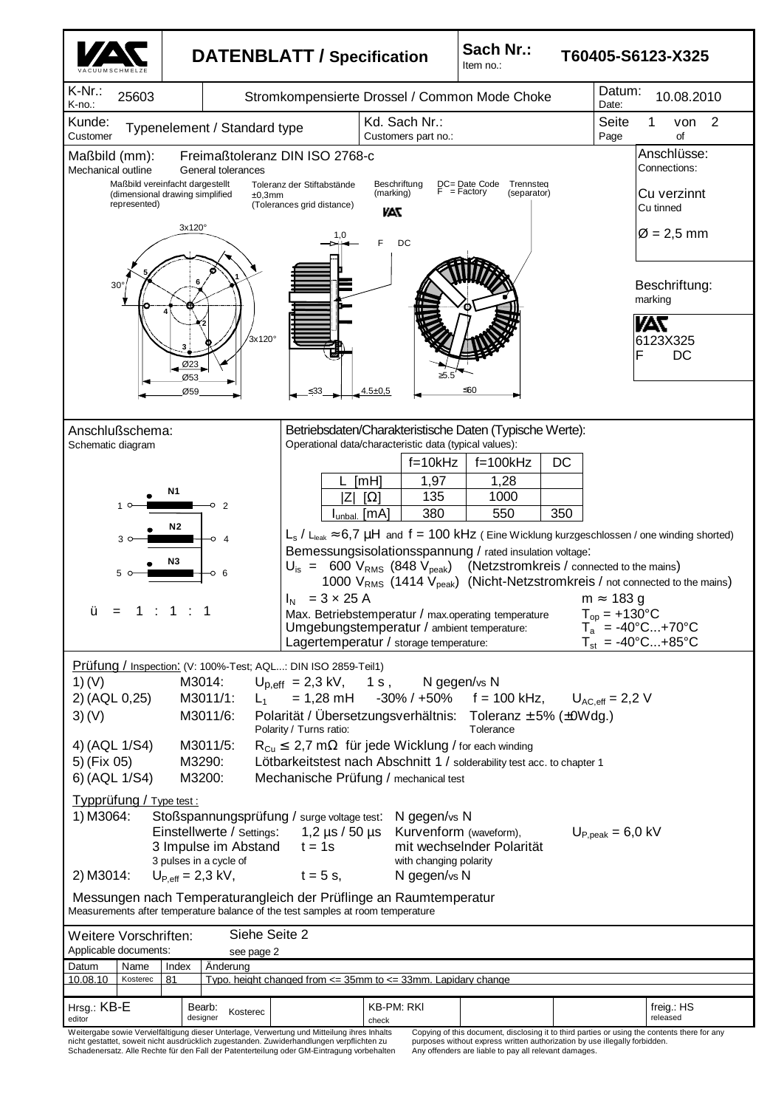